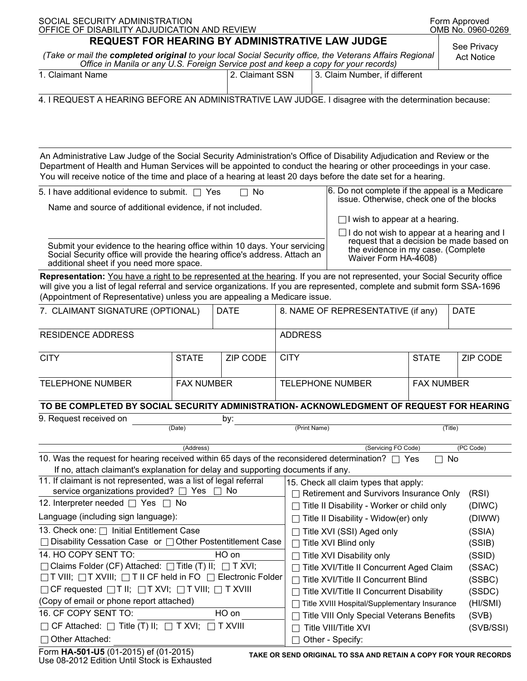| SOCIAL SECURITY ADMINISTRATION<br>OFFICE OF DISABILITY ADJUDICATION AND REVIEW                                                                                                                                                                                                                                                                                   |              |                 |                                    |                                                                                     |                                                                                               | Form Approved<br>OMB No. 0960-0269 |                                  |  |
|------------------------------------------------------------------------------------------------------------------------------------------------------------------------------------------------------------------------------------------------------------------------------------------------------------------------------------------------------------------|--------------|-----------------|------------------------------------|-------------------------------------------------------------------------------------|-----------------------------------------------------------------------------------------------|------------------------------------|----------------------------------|--|
| REQUEST FOR HEARING BY ADMINISTRATIVE LAW JUDGE                                                                                                                                                                                                                                                                                                                  |              |                 |                                    |                                                                                     |                                                                                               |                                    |                                  |  |
| (Take or mail the completed original to your local Social Security office, the Veterans Affairs Regional<br>Office in Manila or any U.S. Foreign Service post and keep a copy for your records)                                                                                                                                                                  |              |                 |                                    |                                                                                     |                                                                                               |                                    | See Privacy<br><b>Act Notice</b> |  |
| 1. Claimant Name                                                                                                                                                                                                                                                                                                                                                 |              | 2. Claimant SSN |                                    |                                                                                     | 3. Claim Number, if different                                                                 |                                    |                                  |  |
|                                                                                                                                                                                                                                                                                                                                                                  |              |                 |                                    |                                                                                     |                                                                                               |                                    |                                  |  |
| 4. I REQUEST A HEARING BEFORE AN ADMINISTRATIVE LAW JUDGE. I disagree with the determination because:                                                                                                                                                                                                                                                            |              |                 |                                    |                                                                                     |                                                                                               |                                    |                                  |  |
|                                                                                                                                                                                                                                                                                                                                                                  |              |                 |                                    |                                                                                     |                                                                                               |                                    |                                  |  |
|                                                                                                                                                                                                                                                                                                                                                                  |              |                 |                                    |                                                                                     |                                                                                               |                                    |                                  |  |
|                                                                                                                                                                                                                                                                                                                                                                  |              |                 |                                    |                                                                                     |                                                                                               |                                    |                                  |  |
| An Administrative Law Judge of the Social Security Administration's Office of Disability Adjudication and Review or the<br>Department of Health and Human Services will be appointed to conduct the hearing or other proceedings in your case.<br>You will receive notice of the time and place of a hearing at least 20 days before the date set for a hearing. |              |                 |                                    |                                                                                     |                                                                                               |                                    |                                  |  |
| 6. Do not complete if the appeal is a Medicare<br>5. I have additional evidence to submit. $\Box$ Yes<br>No                                                                                                                                                                                                                                                      |              |                 |                                    |                                                                                     |                                                                                               |                                    |                                  |  |
| issue. Otherwise, check one of the blocks                                                                                                                                                                                                                                                                                                                        |              |                 |                                    |                                                                                     |                                                                                               |                                    |                                  |  |
| Name and source of additional evidence, if not included.                                                                                                                                                                                                                                                                                                         |              |                 |                                    |                                                                                     | $\Box$ I wish to appear at a hearing.                                                         |                                    |                                  |  |
|                                                                                                                                                                                                                                                                                                                                                                  |              |                 |                                    |                                                                                     |                                                                                               |                                    |                                  |  |
|                                                                                                                                                                                                                                                                                                                                                                  |              |                 |                                    |                                                                                     | $\Box$ I do not wish to appear at a hearing and I<br>request that a decision be made based on |                                    |                                  |  |
| Submit your evidence to the hearing office within 10 days. Your servicing<br>Social Security office will provide the hearing office's address. Attach an<br>additional sheet if you need more space.                                                                                                                                                             |              |                 |                                    |                                                                                     | the evidence in my case. (Complete<br>Waiver Form HA-4608)                                    |                                    |                                  |  |
| Representation: You have a right to be represented at the hearing. If you are not represented, your Social Security office                                                                                                                                                                                                                                       |              |                 |                                    |                                                                                     |                                                                                               |                                    |                                  |  |
| will give you a list of legal referral and service organizations. If you are represented, complete and submit form SSA-1696                                                                                                                                                                                                                                      |              |                 |                                    |                                                                                     |                                                                                               |                                    |                                  |  |
| (Appointment of Representative) unless you are appealing a Medicare issue.                                                                                                                                                                                                                                                                                       |              |                 |                                    |                                                                                     |                                                                                               |                                    |                                  |  |
| 7. CLAIMANT SIGNATURE (OPTIONAL)<br><b>DATE</b>                                                                                                                                                                                                                                                                                                                  |              |                 | 8. NAME OF REPRESENTATIVE (if any) |                                                                                     |                                                                                               |                                    | <b>DATE</b>                      |  |
| <b>RESIDENCE ADDRESS</b>                                                                                                                                                                                                                                                                                                                                         |              |                 | <b>ADDRESS</b>                     |                                                                                     |                                                                                               |                                    |                                  |  |
| <b>CITY</b>                                                                                                                                                                                                                                                                                                                                                      | <b>STATE</b> | <b>ZIP CODE</b> | <b>CITY</b>                        |                                                                                     |                                                                                               | <b>STATE</b>                       | ZIP CODE                         |  |
|                                                                                                                                                                                                                                                                                                                                                                  |              |                 |                                    |                                                                                     |                                                                                               |                                    |                                  |  |
| <b>TELEPHONE NUMBER</b><br><b>FAX NUMBER</b>                                                                                                                                                                                                                                                                                                                     |              |                 | <b>TELEPHONE NUMBER</b>            |                                                                                     | <b>FAX NUMBER</b>                                                                             |                                    |                                  |  |
|                                                                                                                                                                                                                                                                                                                                                                  |              |                 |                                    |                                                                                     |                                                                                               |                                    |                                  |  |
| TO BE COMPLETED BY SOCIAL SECURITY ADMINISTRATION- ACKNOWLEDGMENT OF REQUEST FOR HEARING                                                                                                                                                                                                                                                                         |              |                 |                                    |                                                                                     |                                                                                               |                                    |                                  |  |
| 9. Request received on<br>by:                                                                                                                                                                                                                                                                                                                                    |              |                 |                                    |                                                                                     |                                                                                               |                                    |                                  |  |
| (Date)                                                                                                                                                                                                                                                                                                                                                           |              |                 |                                    | (Print Name)                                                                        |                                                                                               |                                    | (Title)                          |  |
| (Servicing FO Code)<br>(Address)                                                                                                                                                                                                                                                                                                                                 |              |                 |                                    |                                                                                     |                                                                                               |                                    | (PC Code)                        |  |
| 10. Was the request for hearing received within 65 days of the reconsidered determination? $\Box$ Yes                                                                                                                                                                                                                                                            |              |                 |                                    |                                                                                     |                                                                                               | $\Box$ No                          |                                  |  |
| If no, attach claimant's explanation for delay and supporting documents if any.                                                                                                                                                                                                                                                                                  |              |                 |                                    |                                                                                     |                                                                                               |                                    |                                  |  |
| 11. If claimant is not represented, was a list of legal referral<br>service organizations provided? $\Box$ Yes<br>$\Box$ No                                                                                                                                                                                                                                      |              |                 |                                    | 15. Check all claim types that apply:                                               |                                                                                               |                                    |                                  |  |
| 12. Interpreter needed □ Yes □ No                                                                                                                                                                                                                                                                                                                                |              |                 |                                    | $\Box$ Retirement and Survivors Insurance Only<br>(RSI)                             |                                                                                               |                                    |                                  |  |
| Language (including sign language):                                                                                                                                                                                                                                                                                                                              |              |                 |                                    | □ Title II Disability - Worker or child only<br>(DIWC)                              |                                                                                               |                                    |                                  |  |
| 13. Check one: □ Initial Entitlement Case                                                                                                                                                                                                                                                                                                                        |              |                 |                                    | $\Box$ Title II Disability - Widow(er) only<br>(DIWW)                               |                                                                                               |                                    |                                  |  |
| Disability Cessation Case or □ Other Postentitlement Case                                                                                                                                                                                                                                                                                                        |              |                 |                                    | $\Box$ Title XVI (SSI) Aged only<br>(SSIA)<br>$\Box$ Title XVI Blind only<br>(SSIB) |                                                                                               |                                    |                                  |  |
| 14. HO COPY SENT TO:<br>HO on                                                                                                                                                                                                                                                                                                                                    |              |                 |                                    | □ Title XVI Disability only<br>(SSID)                                               |                                                                                               |                                    |                                  |  |
| $\Box$ Claims Folder (CF) Attached: $\Box$ Title (T) II; $\Box$ T XVI;                                                                                                                                                                                                                                                                                           |              |                 |                                    | □ Title XVI/Title II Concurrent Aged Claim<br>(SSAC)                                |                                                                                               |                                    |                                  |  |
| $\Box$ T VIII; $\Box$ T XVIII; $\Box$ T II CF held in FO $\Box$ Electronic Folder                                                                                                                                                                                                                                                                                |              |                 |                                    | □ Title XVI/Title II Concurrent Blind                                               |                                                                                               |                                    |                                  |  |
| $\Box$ CF requested $\Box$ T II; $\Box$ T XVI; $\Box$ T VIII; $\Box$ T XVIII                                                                                                                                                                                                                                                                                     |              |                 |                                    | □ Title XVI/Title II Concurrent Disability                                          |                                                                                               |                                    |                                  |  |
| (Copy of email or phone report attached)                                                                                                                                                                                                                                                                                                                         |              |                 |                                    | (SSDC)<br>Title XVIII Hospital/Supplementary Insurance<br>(HI/SMI)                  |                                                                                               |                                    |                                  |  |
| 16. CF COPY SENT TO:<br>HO on                                                                                                                                                                                                                                                                                                                                    |              |                 |                                    | Title VIII Only Special Veterans Benefits<br>(SVB)                                  |                                                                                               |                                    |                                  |  |
| $\Box$ CF Attached: $\Box$ Title (T) II; $\Box$ T XVI; $\Box$ T XVIII                                                                                                                                                                                                                                                                                            |              |                 |                                    | Title VIII/Title XVI<br>(SVB/SSI)                                                   |                                                                                               |                                    |                                  |  |
| Other Attached:                                                                                                                                                                                                                                                                                                                                                  |              |                 |                                    | Other - Specify:                                                                    |                                                                                               |                                    |                                  |  |
| Eorm HA-501-U5 (01-2015) of (01-2015)                                                                                                                                                                                                                                                                                                                            |              |                 |                                    |                                                                                     |                                                                                               |                                    |                                  |  |

Form **HA-501-U5** (01-2015) ef (01-2015) Use 08-2012 Edition Until Stock is Exhausted **TAKE OR SEND ORIGINAL TO SSA AND RETAIN A COPY FOR YOUR RECORDS**